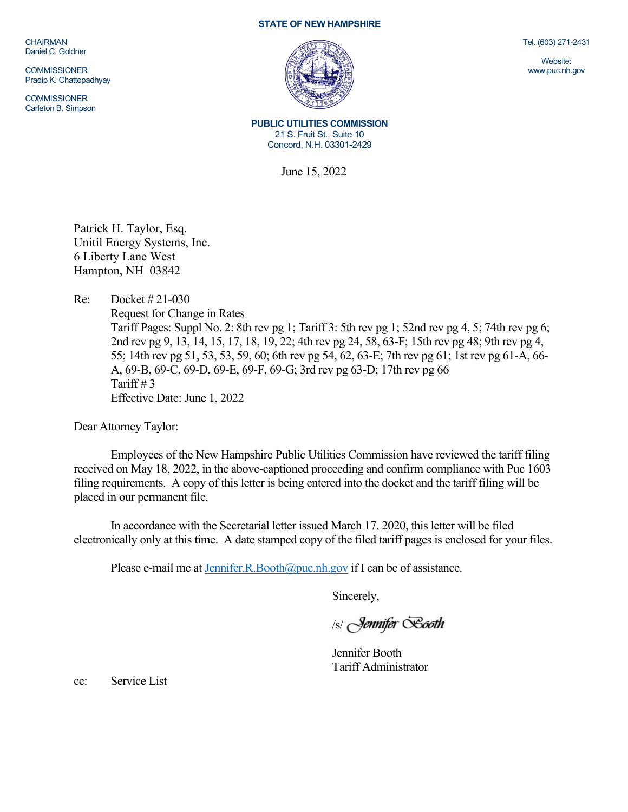CHAIRMAN Daniel C. Goldner

**COMMISSIONER** Pradip K. Chattopadhyay

**COMMISSIONER** Carleton B. Simpson

## **STATE OF NEW HAMPSHIRE**



Tel. (603) 271-2431

Website: www.puc.nh.gov

**PUBLIC UTILITIES COMMISSION** 21 S. Fruit St., Suite 10 Concord, N.H. 03301-2429

June 15, 2022

Patrick H. Taylor, Esq. Unitil Energy Systems, Inc. 6 Liberty Lane West Hampton, NH 03842

Re: Docket # 21-030 Request for Change in Rates Tariff Pages: Suppl No. 2: 8th rev pg 1; Tariff 3: 5th rev pg 1; 52nd rev pg 4, 5; 74th rev pg 6; 2nd rev pg 9, 13, 14, 15, 17, 18, 19, 22; 4th rev pg 24, 58, 63-F; 15th rev pg 48; 9th rev pg 4, 55; 14th rev pg 51, 53, 53, 59, 60; 6th rev pg 54, 62, 63-E; 7th rev pg 61; 1st rev pg 61-A, 66- A, 69-B, 69-C, 69-D, 69-E, 69-F, 69-G; 3rd rev pg 63-D; 17th rev pg 66 Tariff  $# 3$ Effective Date: June 1, 2022

Dear Attorney Taylor:

Employees of the New Hampshire Public Utilities Commission have reviewed the tariff filing received on May 18, 2022, in the above-captioned proceeding and confirm compliance with Puc 1603 filing requirements. A copy of this letter is being entered into the docket and the tariff filing will be placed in our permanent file.

In accordance with the Secretarial letter issued March 17, 2020, this letter will be filed electronically only at this time. A date stamped copy of the filed tariff pages is enclosed for your files.

Please e-mail me a[t Jennifer.R.Booth@puc.nh.gov](mailto:Jennifer.R.Booth@puc.nh.gov) if I can be of assistance.

Sincerely,

/s/ *Sennifer* Sooth

Jennifer Booth Tariff Administrator

cc: Service List